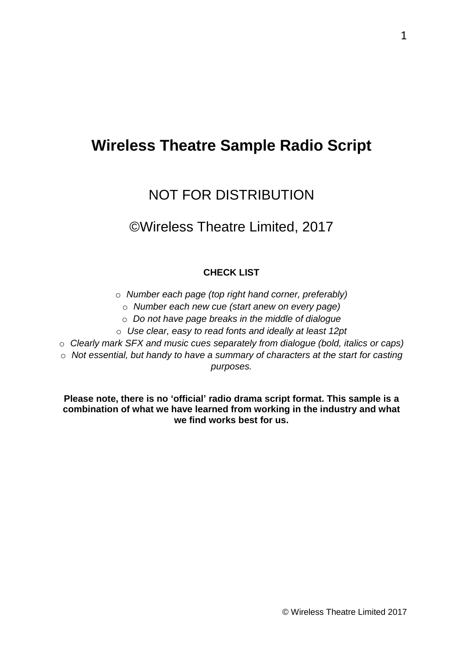# **Wireless Theatre Sample Radio Script**

# NOT FOR DISTRIBUTION

# ©Wireless Theatre Limited, 2017

### **CHECK LIST**

- o *Number each page (top right hand corner, preferably)*
	- o *Number each new cue (start anew on every page)*
	- o *Do not have page breaks in the middle of dialogue*
- o *Use clear, easy to read fonts and ideally at least 12pt*
- o *Clearly mark SFX and music cues separately from dialogue (bold, italics or caps)*
- o *Not essential, but handy to have a summary of characters at the start for casting purposes.*

**Please note, there is no 'official' radio drama script format. This sample is a combination of what we have learned from working in the industry and what we find works best for us.**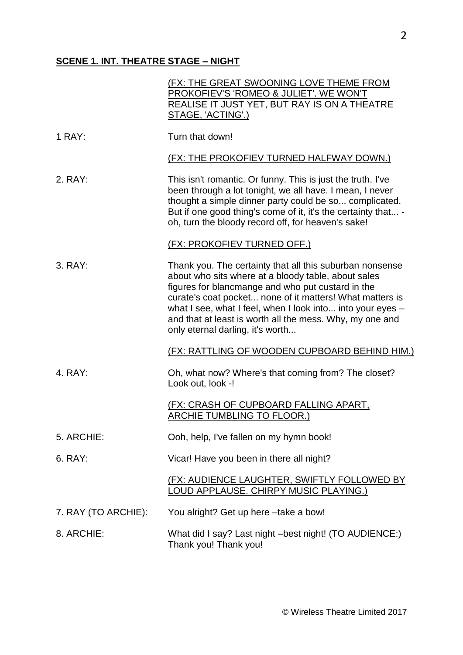# **SCENE 1. INT. THEATRE STAGE – NIGHT**

|                     | (FX: THE GREAT SWOONING LOVE THEME FROM<br>PROKOFIEV'S 'ROMEO & JULIET'. WE WON'T<br>REALISE IT JUST YET, BUT RAY IS ON A THEATRE<br>STAGE, 'ACTING'.)                                                                                                                                                                                                                                         |
|---------------------|------------------------------------------------------------------------------------------------------------------------------------------------------------------------------------------------------------------------------------------------------------------------------------------------------------------------------------------------------------------------------------------------|
| 1 RAY:              | Turn that down!                                                                                                                                                                                                                                                                                                                                                                                |
|                     | (FX: THE PROKOFIEV TURNED HALFWAY DOWN.)                                                                                                                                                                                                                                                                                                                                                       |
| 2. RAY:             | This isn't romantic. Or funny. This is just the truth. I've<br>been through a lot tonight, we all have. I mean, I never<br>thought a simple dinner party could be so complicated.<br>But if one good thing's come of it, it's the certainty that -<br>oh, turn the bloody record off, for heaven's sake!                                                                                       |
|                     | (FX: PROKOFIEV TURNED OFF.)                                                                                                                                                                                                                                                                                                                                                                    |
| 3. RAY:             | Thank you. The certainty that all this suburban nonsense<br>about who sits where at a bloody table, about sales<br>figures for blancmange and who put custard in the<br>curate's coat pocket none of it matters! What matters is<br>what I see, what I feel, when I look into into your eyes -<br>and that at least is worth all the mess. Why, my one and<br>only eternal darling, it's worth |
|                     | (FX: RATTLING OF WOODEN CUPBOARD BEHIND HIM.)                                                                                                                                                                                                                                                                                                                                                  |
| 4. RAY:             | Oh, what now? Where's that coming from? The closet?<br>Look out, look -!                                                                                                                                                                                                                                                                                                                       |
|                     | (FX: CRASH OF CUPBOARD FALLING APART,<br>ARCHIE TUMBLING TO FLOOR.)                                                                                                                                                                                                                                                                                                                            |
| 5. ARCHIE:          | Ooh, help, I've fallen on my hymn book!                                                                                                                                                                                                                                                                                                                                                        |
| 6. RAY:             | Vicar! Have you been in there all night?                                                                                                                                                                                                                                                                                                                                                       |
|                     | (FX: AUDIENCE LAUGHTER, SWIFTLY FOLLOWED BY<br>LOUD APPLAUSE. CHIRPY MUSIC PLAYING.)                                                                                                                                                                                                                                                                                                           |
| 7. RAY (TO ARCHIE): | You alright? Get up here -take a bow!                                                                                                                                                                                                                                                                                                                                                          |
| 8. ARCHIE:          | What did I say? Last night -best night! (TO AUDIENCE:)<br>Thank you! Thank you!                                                                                                                                                                                                                                                                                                                |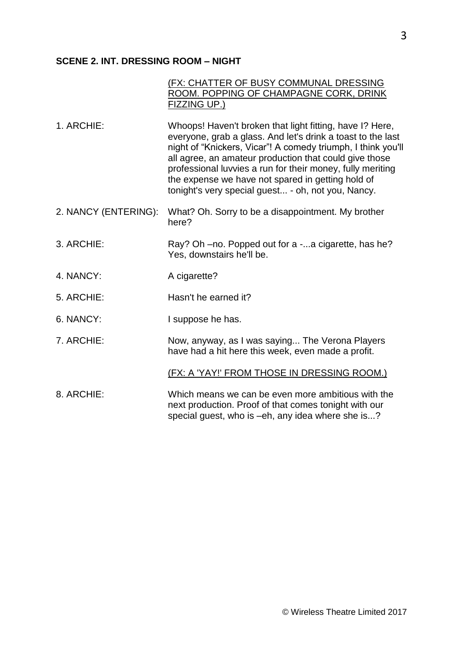## **SCENE 2. INT. DRESSING ROOM – NIGHT**

| (FX: CHATTER OF BUSY COMMUNAL DRESSING<br>ROOM. POPPING OF CHAMPAGNE CORK, DRINK<br><b>FIZZING UP.)</b>                                                                                                                                                                                                                                                                                                                    |
|----------------------------------------------------------------------------------------------------------------------------------------------------------------------------------------------------------------------------------------------------------------------------------------------------------------------------------------------------------------------------------------------------------------------------|
| Whoops! Haven't broken that light fitting, have I? Here,<br>everyone, grab a glass. And let's drink a toast to the last<br>night of "Knickers, Vicar"! A comedy triumph, I think you'll<br>all agree, an amateur production that could give those<br>professional luvvies a run for their money, fully meriting<br>the expense we have not spared in getting hold of<br>tonight's very special guest - oh, not you, Nancy. |
| What? Oh. Sorry to be a disappointment. My brother<br>here?                                                                                                                                                                                                                                                                                                                                                                |
| Ray? Oh –no. Popped out for a -a cigarette, has he?<br>Yes, downstairs he'll be.                                                                                                                                                                                                                                                                                                                                           |
| A cigarette?                                                                                                                                                                                                                                                                                                                                                                                                               |
| Hasn't he earned it?                                                                                                                                                                                                                                                                                                                                                                                                       |
| I suppose he has.                                                                                                                                                                                                                                                                                                                                                                                                          |
| Now, anyway, as I was saying The Verona Players<br>have had a hit here this week, even made a profit.                                                                                                                                                                                                                                                                                                                      |
| (FX: A 'YAY!' FROM THOSE IN DRESSING ROOM.)                                                                                                                                                                                                                                                                                                                                                                                |
| Which means we can be even more ambitious with the<br>next production. Proof of that comes tonight with our<br>special guest, who is -eh, any idea where she is?                                                                                                                                                                                                                                                           |
|                                                                                                                                                                                                                                                                                                                                                                                                                            |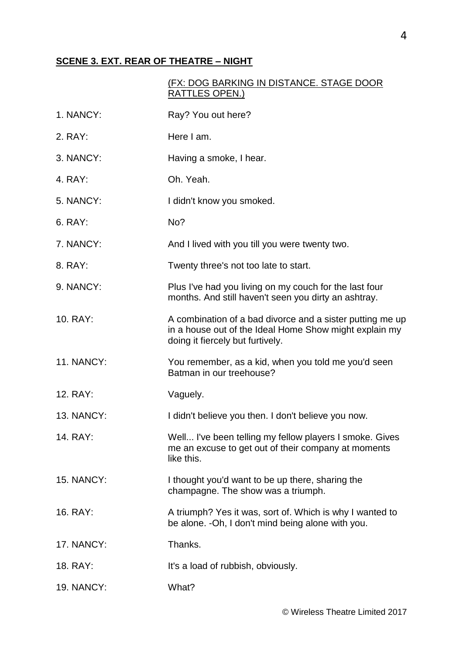### **SCENE 3. EXT. REAR OF THEATRE – NIGHT**

### (FX: DOG BARKING IN DISTANCE. STAGE DOOR RATTLES OPEN.)

| 1. NANCY:         | Ray? You out here?                                                                                                                                      |
|-------------------|---------------------------------------------------------------------------------------------------------------------------------------------------------|
| 2. RAY:           | Here I am.                                                                                                                                              |
| 3. NANCY:         | Having a smoke, I hear.                                                                                                                                 |
| 4. RAY:           | Oh. Yeah.                                                                                                                                               |
| 5. NANCY:         | I didn't know you smoked.                                                                                                                               |
| 6. RAY:           | No?                                                                                                                                                     |
| 7. NANCY:         | And I lived with you till you were twenty two.                                                                                                          |
| 8. RAY:           | Twenty three's not too late to start.                                                                                                                   |
| 9. NANCY:         | Plus I've had you living on my couch for the last four<br>months. And still haven't seen you dirty an ashtray.                                          |
| 10. RAY:          | A combination of a bad divorce and a sister putting me up<br>in a house out of the Ideal Home Show might explain my<br>doing it fiercely but furtively. |
| <b>11. NANCY:</b> | You remember, as a kid, when you told me you'd seen<br>Batman in our treehouse?                                                                         |
| 12. RAY:          | Vaguely.                                                                                                                                                |
| <b>13. NANCY:</b> | I didn't believe you then. I don't believe you now.                                                                                                     |
| 14. RAY:          | Well I've been telling my fellow players I smoke. Gives<br>me an excuse to get out of their company at moments<br>like this.                            |
| <b>15. NANCY:</b> | I thought you'd want to be up there, sharing the<br>champagne. The show was a triumph.                                                                  |
| 16. RAY:          | A triumph? Yes it was, sort of. Which is why I wanted to<br>be alone. - Oh, I don't mind being alone with you.                                          |
| 17. NANCY:        | Thanks.                                                                                                                                                 |
| 18. RAY:          | It's a load of rubbish, obviously.                                                                                                                      |
| <b>19. NANCY:</b> | What?                                                                                                                                                   |